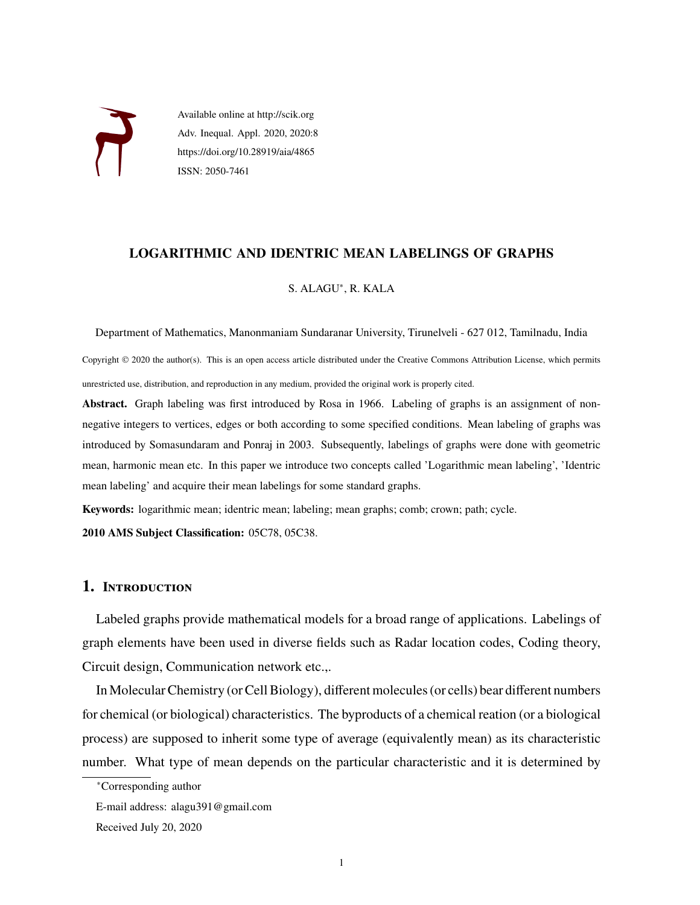

Available online at http://scik.org Adv. Inequal. Appl. 2020, 2020:8 https://doi.org/10.28919/aia/4865 ISSN: 2050-7461

## **LOGARITHMIC AND IDENTRIC MEAN LABELINGS OF GRAPHS**

### S. ALAGU<sup>∗</sup> , R. KALA

Department of Mathematics, Manonmaniam Sundaranar University, Tirunelveli - 627 012, Tamilnadu, India

Copyright © 2020 the author(s). This is an open access article distributed under the Creative Commons Attribution License, which permits unrestricted use, distribution, and reproduction in any medium, provided the original work is properly cited.

**Abstract.** Graph labeling was first introduced by Rosa in 1966. Labeling of graphs is an assignment of nonnegative integers to vertices, edges or both according to some specified conditions. Mean labeling of graphs was introduced by Somasundaram and Ponraj in 2003. Subsequently, labelings of graphs were done with geometric mean, harmonic mean etc. In this paper we introduce two concepts called 'Logarithmic mean labeling', 'Identric mean labeling' and acquire their mean labelings for some standard graphs.

**Keywords:** logarithmic mean; identric mean; labeling; mean graphs; comb; crown; path; cycle.

**2010 AMS Subject Classification:** 05C78, 05C38.

# **1. Introduction**

Labeled graphs provide mathematical models for a broad range of applications. Labelings of graph elements have been used in diverse fields such as Radar location codes, Coding theory, Circuit design, Communication network etc.,.

In Molecular Chemistry (or Cell Biology), different molecules (or cells) bear different numbers for chemical (or biological) characteristics. The byproducts of a chemical reation (or a biological process) are supposed to inherit some type of average (equivalently mean) as its characteristic number. What type of mean depends on the particular characteristic and it is determined by

<sup>∗</sup>Corresponding author

E-mail address: alagu391@gmail.com

Received July 20, 2020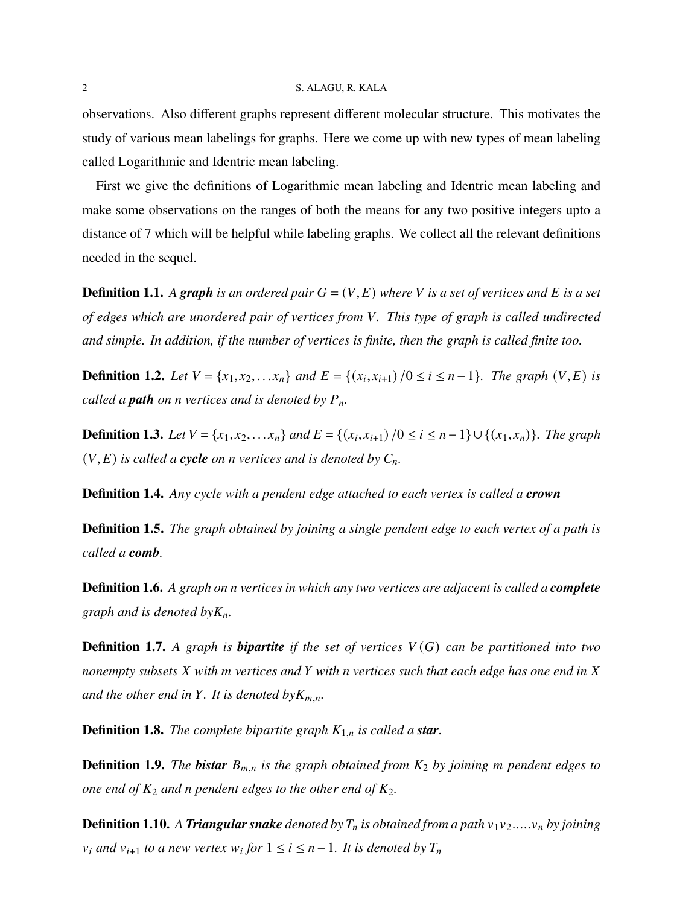#### 2 S. ALAGU, R. KALA

observations. Also different graphs represent different molecular structure. This motivates the study of various mean labelings for graphs. Here we come up with new types of mean labeling called Logarithmic and Identric mean labeling.

First we give the definitions of Logarithmic mean labeling and Identric mean labeling and make some observations on the ranges of both the means for any two positive integers upto a distance of 7 which will be helpful while labeling graphs. We collect all the relevant definitions needed in the sequel.

**Definition 1.1.** A graph is an ordered pair  $G = (V, E)$  where V is a set of vertices and E is a set *of edges which are unordered pair of vertices from . This type of graph is called undirected and simple. In addition, if the number of vertices is finite, then the graph is called finite too.*

**Definition 1.2.** *Let*  $V = \{x_1, x_2, \ldots, x_n\}$  *and*  $E = \{(x_i, x_{i+1}) / 0 \le i \le n-1\}$ *. The graph*  $(V, E)$  *is called a path on n vertices and is denoted by*  $P_n$ *.* 

**Definition 1.3.** *Let*  $V = \{x_1, x_2, \ldots, x_n\}$  *and*  $E = \{(x_i, x_{i+1}) / 0 \le i \le n-1\} ∪ \{(x_1, x_n)\}$ *. The graph*  $(V, E)$  *is called a cycle on n vertices and is denoted by*  $C_n$ *.* 

**Definition 1.4.** *Any cycle with a pendent edge attached to each vertex is called a crown*

**Definition 1.5.** *The graph obtained by joining a single pendent edge to each vertex of a path is called a comb.*

**Definition 1.6.** *A graph on vertices in which any two vertices are adjacent is called a complete graph and is denoted by* $K_n$ *.* 

**Definition 1.7.** A graph is **bipartite** if the set of vertices  $V(G)$  can be partitioned into two *nonempty subsets with vertices and with vertices such that each edge has one end in and the other end in Y*. It is denoted by $K_{m,n}$ .

**Definition 1.8.** *The complete bipartite graph*  $K_{1,n}$  *is called a star.* 

**Definition 1.9.** *The bistar*  $B_{m,n}$  *is the graph obtained from*  $K_2$  *by joining m* pendent edges to *one end of*  $K_2$  *and n pendent edges to the other end of*  $K_2$ *.* 

**Definition 1.10.** A *Triangular snake denoted by*  $T_n$  *is obtained from a path*  $v_1v_2.....v_n$  *by joining*  $v_i$  and  $v_{i+1}$  to a new vertex  $w_i$  for  $1 \leq i \leq n-1$ . It is denoted by  $T_n$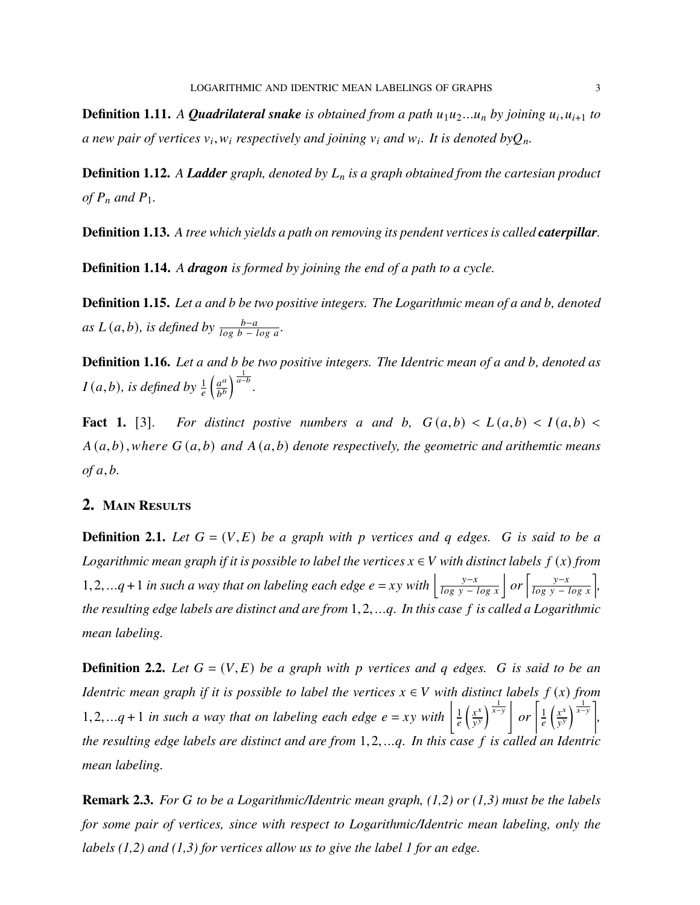**Definition 1.11.** A **Quadrilateral snake** is obtained from a path  $u_1u_2...u_n$  by joining  $u_i$ ,  $u_{i+1}$  to a new pair of vertices  $v_i, w_i$  respectively and joining  $v_i$  and  $w_i$ . It is denoted by $Q_n$ .

**Definition 1.12.** *A Ladder graph, denoted by is a graph obtained from the cartesian product of*  $P_n$  and  $P_1$ .

**Definition 1.13.** *A tree which yields a path on removing its pendent vertices is called caterpillar.*

**Definition 1.14.** *A dragon is formed by joining the end of a path to a cycle.*

**Definition 1.15.** Let a and b be two positive integers. The Logarithmic mean of a and b, denoted *as*  $L(a,b)$ *, is defined by*  $\frac{b-a}{\log b - \log a}$ *.* 

**Definition 1.16.** Let a and b be two positive integers. The Identric mean of a and b, denoted as  $I(a, b)$ , is defined by  $\frac{1}{e}$  $\int \underline{a^a}$  $b^b$  $\int^{\frac{1}{a-b}}$ .

**Fact 1.** [3]. For distinct positive numbers a and b,  $G(a,b) < L(a,b) < I(a,b) <$  $A(a,b)$ , where  $G(a,b)$  and  $A(a,b)$  denote respectively, the geometric and arithemtic means  $of a, b.$ 

## **2. Main Results**

**Definition 2.1.** Let  $G = (V, E)$  be a graph with p vertices and q edges. G is said to be a *Logarithmic mean graph if it is possible to label the vertices*  $x \in V$  with distinct labels  $f(x)$  from 1,2,...q + 1 *in such a way that on labeling each edge*  $e = xy$  *with*  $\left| \frac{y-x}{\log y - \log x} \right|$  *or*  $\left[ \frac{y-x}{\log y - \log x} \right]$ *, the resulting edge labels are distinct and are from* 1*,*2*, .... In this case is called a Logarithmic mean labeling.*

**Definition 2.2.** Let  $G = (V, E)$  be a graph with p vertices and q edges. G is said to be an *Identric mean graph if it is possible to label the vertices*  $x \in V$  with distinct labels  $f(x)$  from 1,2,...q + 1 *in such a way that on labeling each edge*  $e = xy$  with  $\left| \frac{1}{e} \right|$  $\ell$  $\int \frac{x^x}{x^x}$  $\overline{y}$  $\int^{\frac{1}{x-y}}$  or  $\int_{a}^{b}$  $\boldsymbol{e}$  $\int \frac{1}{x} dx$  $\overline{y}$  $\left\lfloor \frac{1}{x-y} \right\rfloor$ *, the resulting edge labels are distinct and are from* 1*,*2*, .... In this case is called an Identric mean labeling.*

**Remark 2.3.** *For to be a Logarithmic/Identric mean graph, (1,2) or (1,3) must be the labels for some pair of vertices, since with respect to Logarithmic/Identric mean labeling, only the labels (1,2) and (1,3) for vertices allow us to give the label 1 for an edge.*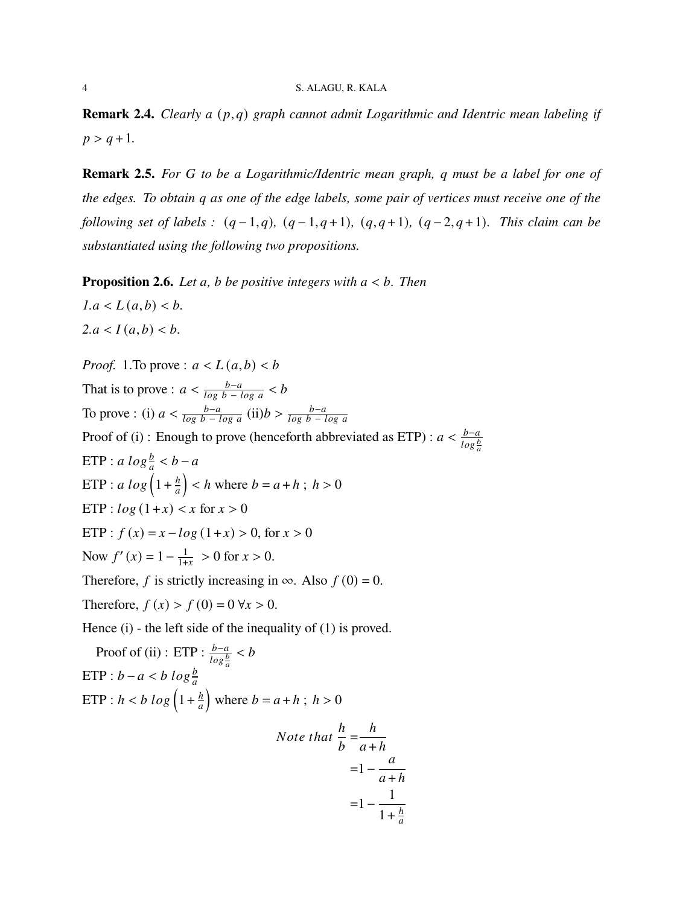#### 4 S. ALAGU, R. KALA

**Remark 2.4.** *Clearly a*  $(p,q)$  *graph cannot admit Logarithmic and Identric mean labeling if*  $p > q + 1$ .

**Remark 2.5.** *For to be a Logarithmic/Identric mean graph, must be a label for one of the edges. To obtain as one of the edge labels, some pair of vertices must receive one of the following set of labels :*  $(q-1,q)$ ,  $(q-1,q+1)$ ,  $(q,q+1)$ ,  $(q-2,q+1)$ . This claim can be *substantiated using the following two propositions.*

**Proposition 2.6.** *Let a*, *b be positive integers with*  $a < b$ *. Then* 

 $1.a < L(a,b) < b.$  $2.a < I(a,b) < b.$ 

*Proof.* 1.To prove :  $a < L(a,b) < b$ That is to prove :  $a < \frac{b-a}{\log b - \log a} < b$ To prove : (i)  $a < \frac{b-a}{\log b - \log a}$  (ii) $b > \frac{b-a}{\log b - \log a}$ Proof of (i) : Enough to prove (henceforth abbreviated as ETP) :  $a < \frac{b-a}{\log \frac{b}{a}}$ ETP :  $a \, log \frac{b}{a} < b - a$ ETP :  $a \, log \left( 1 + \frac{h}{a} \right)$  $\boldsymbol{a}$  $\left( \begin{array}{c} \n k \n \end{array} \right)$  < *h* where *b* = *a* + *h*; *h* > 0 ETP :  $log(1+x) < x$  for  $x > 0$ ETP :  $f(x) = x - log(1+x) > 0$ , for  $x > 0$ Now  $f'(x) = 1 - \frac{1}{1+x}$  $\frac{1}{1+x} > 0$  for  $x > 0$ . Therefore, f is strictly increasing in  $\infty$ . Also  $f(0) = 0$ . Therefore,  $f(x) > f(0) = 0 \forall x > 0$ . Hence (i) - the left side of the inequality of (1) is proved. Proof of (ii) : ETP :  $\frac{b-a}{\log \frac{b}{a}} < b$ ETP :  $b - a < b \log \frac{b}{a}$  $\text{ETP}: h < b \log \left(1 + \frac{h}{a}\right)$  $\boldsymbol{a}$ where  $b = a + h$ ;  $h > 0$ *Note that*  $\frac{h}{h}$  $\boldsymbol{b}$  $=\frac{h}{h}$  $a + h$  $=1-\frac{a}{a}$  $a + h$ 

 $\boldsymbol{a}$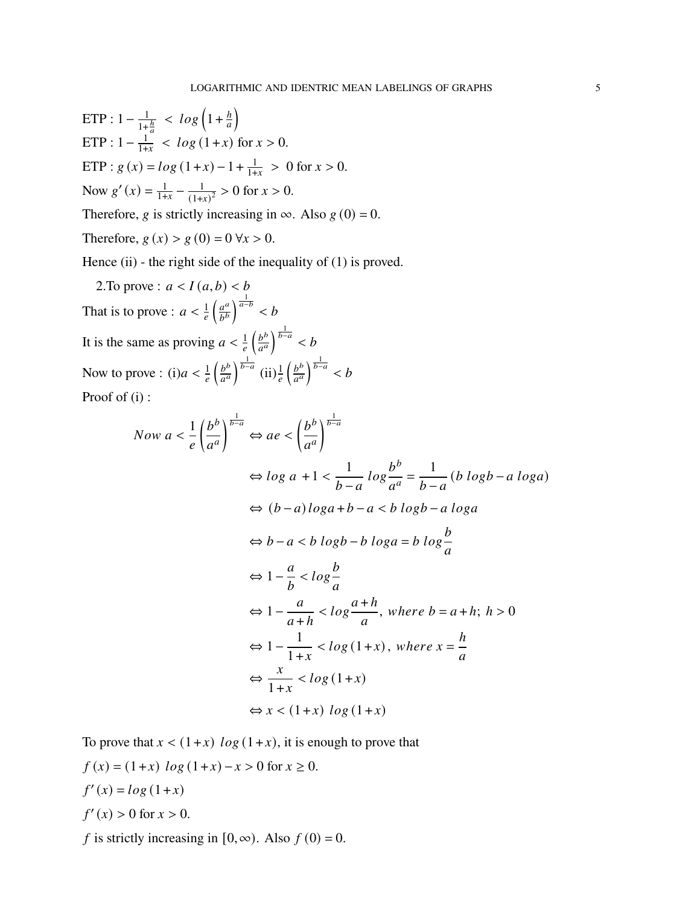ETP: 
$$
1 - \frac{1}{1 + \frac{h}{a}} < \log\left(1 + \frac{h}{a}\right)
$$

\nETP:  $1 - \frac{1}{1 + x} < \log\left(1 + x\right)$  for  $x > 0$ .

\nETP:  $g(x) = \log\left(1 + x\right) - 1 + \frac{1}{1 + x} > 0$  for  $x > 0$ .

\nNow  $g'(x) = \frac{1}{1 + x} - \frac{1}{(1 + x)^2} > 0$  for  $x > 0$ .

\nTherefore,  $g$  is strictly increasing in  $\infty$ . Also  $g(0) = 0$ .

Therefore,  $g(x) > g(0) = 0 \forall x > 0$ .

Hence (ii) - the right side of the inequality of (1) is proved.

2. To prove :  $a < I(a, b) < b$ That is to prove :  $a < \frac{1}{e}$  $\int \underline{a^a}$  $b^b$  $\int^{\frac{1}{a-b}}$  < *b* It is the same as proving  $a < \frac{1}{e}$  $\int \underline{b^b}$  $\overline{a^a}$  $\int_{b-a}^{\frac{1}{b-a}}$  < b Now to prove : (i) $a < \frac{1}{e}$  $\int \underline{b^b}$  $\overline{a^a}$  $\int_{0}^{\frac{1}{b-a}}$  (ii) $\frac{1}{e}$  $\int$  $a^a$  $\int_{b-a}^{\frac{1}{b-a}}$  < b Proof of (i) :

Now 
$$
a < \frac{1}{e} \left( \frac{b^b}{a^a} \right)^{\frac{1}{b-a}} \Leftrightarrow ae < \left( \frac{b^b}{a^a} \right)^{\frac{1}{b-a}}
$$
  
\n $\Leftrightarrow \log a + 1 < \frac{1}{b-a} \log \frac{b^b}{a^a} = \frac{1}{b-a} (b \log b - a \log a)$   
\n $\Leftrightarrow (b-a) \log a + b - a < b \log b - a \log a$   
\n $\Leftrightarrow b - a < b \log b - b \log a = b \log \frac{b}{a}$   
\n $\Leftrightarrow 1 - \frac{a}{b} < \log \frac{b}{a}$   
\n $\Leftrightarrow 1 - \frac{a}{a+h} < \log \frac{a+h}{a}$ , where  $b = a+h$ ;  $h > 0$   
\n $\Leftrightarrow 1 - \frac{1}{1+x} < \log (1+x)$ , where  $x = \frac{h}{a}$   
\n $\Leftrightarrow \frac{x}{1+x} < \log (1+x)$   
\n $\Leftrightarrow x < (1+x) \log (1+x)$ 

To prove that  $x < (1+x) \log(1+x)$ , it is enough to prove that

$$
f(x) = (1+x) \log (1+x) - x > 0 \text{ for } x \ge 0.
$$
  

$$
f'(x) = \log (1+x)
$$
  

$$
f'(x) > 0 \text{ for } x > 0.
$$

f is strictly increasing in  $[0, \infty)$ . Also  $f(0) = 0$ .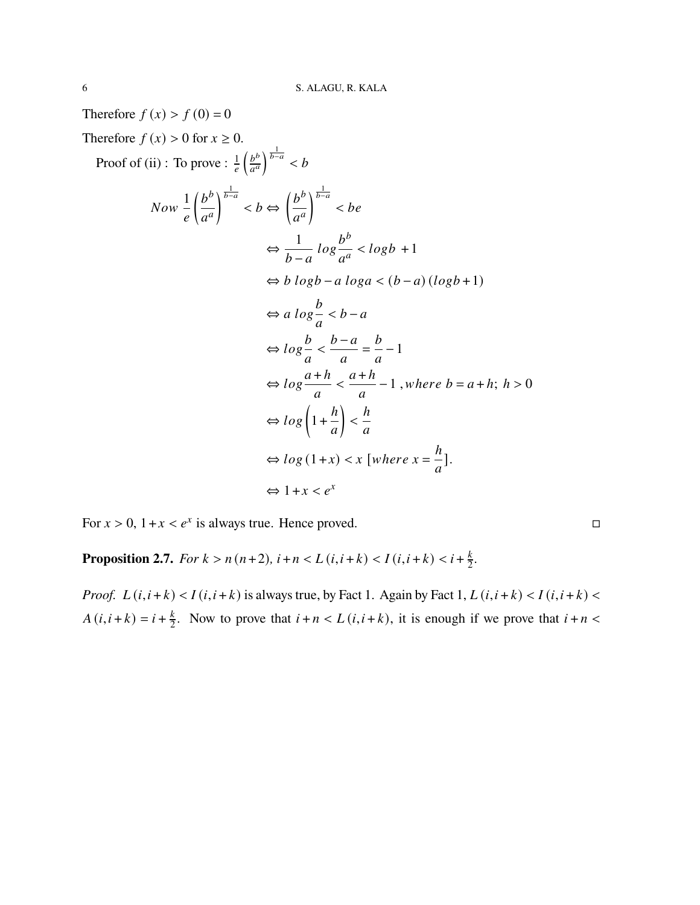Therefore  $f(x) > f(0) = 0$ Therefore  $f(x) > 0$  for  $x \ge 0$ . Proof of (ii) : To prove :  $\frac{1}{e}$  $\int$  $\overline{a^a}$  $\int_{b-a}^{\frac{1}{b-a}}$  < b Now 1  $\ell$  $(b^b$  $a^a$  $\int_{b-a}^{\frac{1}{b-a}}$  < b  $\Leftrightarrow$  $(b^b$  $a^a$  $\sqrt{\frac{1}{b-a}}$ *<*   $\Leftrightarrow \frac{1}{1}$  $b-a$  $log\frac{b^b}{a^a}$  $\frac{b}{a^a}$  < logb +1  $\Leftrightarrow$  *b*  $logb - a loga < (b - a)(logb + 1)$  $\Leftrightarrow$  a  $\log \frac{b}{a}$  $\boldsymbol{a}$  $\lt b - a$  $\Leftrightarrow$   $log\frac{b}{a}$  $\boldsymbol{a}$ *<*  $b-a$  $\boldsymbol{a}$  $=\frac{b}{-}$  $\boldsymbol{a}$ −1  $\Leftrightarrow log\frac{a+h}{a}$  $\boldsymbol{a}$ *<*  $a + h$  $\boldsymbol{a}$  $-1$ , *where*  $b = a + h$ ;  $h > 0$  $\Leftrightarrow log\left(1+\frac{h}{a}\right)$  $\boldsymbol{a}$  $\overline{ }$ *< ℎ*  $\boldsymbol{a}$  $\Leftrightarrow log(1+x) < x$  [where  $x = \frac{h}{a}$ ]  $\boldsymbol{a}$ ]*.*  $\Leftrightarrow$  1+*x* <  $e^x$ 

For  $x > 0$ ,  $1 + x < e^x$  is always true. Hence proved.  $\Box$ 

**Proposition 2.7.** *For*  $k > n(n+2)$ ,  $i + n < L(i, i + k) < I(i, i + k) < i + \frac{k}{2}$  $\frac{k}{2}$ .

*Proof.*  $L(i, i+k) < I(i, i+k)$  is always true, by Fact 1. Again by Fact 1,  $L(i, i+k) < I(i, i+k)$  $A(i, i + k) = i + \frac{k}{2}$  $\frac{k}{2}$ . Now to prove that  $i + n < L(i, i + k)$ , it is enough if we prove that  $i + n <$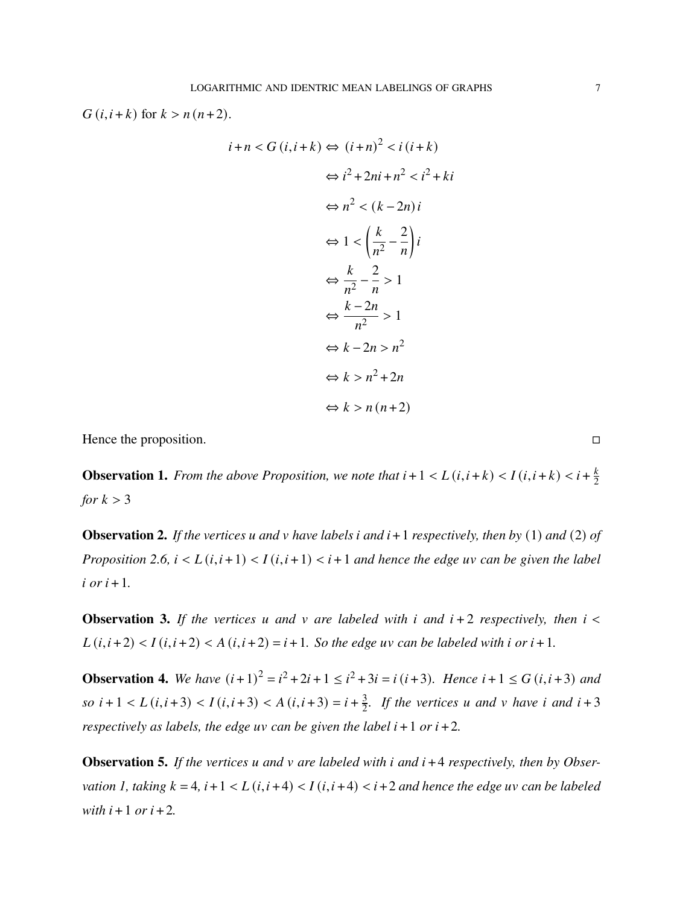$G(i, i+k)$  for  $k > n(n+2)$ .

$$
i+n < G(i, i+k) \Leftrightarrow (i+n)^2 < i (i+k)
$$
  

$$
\Leftrightarrow i^2 + 2ni + n^2 < i^2 + ki
$$
  

$$
\Leftrightarrow n^2 < (k-2n)i
$$
  

$$
\Leftrightarrow 1 < \left(\frac{k}{n^2} - \frac{2}{n}\right)i
$$
  

$$
\Leftrightarrow \frac{k}{n^2} - \frac{2}{n} > 1
$$
  

$$
\Leftrightarrow \frac{k-2n}{n^2} > 1
$$
  

$$
\Leftrightarrow k - 2n > n^2
$$
  

$$
\Leftrightarrow k > n^2 + 2n
$$
  

$$
\Leftrightarrow k > n (n+2)
$$

Hence the proposition. □

**Observation 1.** *From the above Proposition, we note that*  $i + 1 < L(i, i + k) < I(i, i + k) < i + \frac{k}{2}$ 2 *for*  $k > 3$ 

**Observation 2.** If the vertices u and v have labels i and  $i + 1$  respectively, then by (1) and (2) of *Proposition 2.6,*  $i < L(i, i+1) < I(i, i+1) < i+1$  *and hence the edge uv can be given the label*  $i$  *or*  $i+1$ *.* 

**Observation 3.** If the vertices u and v are labeled with i and  $i + 2$  respectively, then  $i <$  $L(i, i+2) < I(i, i+2) < A(i, i+2) = i+1$ . So the edge uv can be labeled with *i* or *i* + 1.

**Observation 4.** We have  $(i+1)^2 = i^2 + 2i + 1 \leq i^2 + 3i = i (i+3)$ . Hence  $i+1 \leq G(i,i+3)$  and  $so\ i+1 < L(i,i+3) < I(i,i+3) < A(i,i+3) = i+\frac{3}{2}$  $\frac{3}{2}$ . If the vertices *u* and *v* have *i* and *i* + 3 *respectively as labels, the edge uv can be given the label*  $i + 1$  *or*  $i + 2$ *.* 

**Observation 5.** If the vertices u and v are labeled with i and  $i + 4$  respectively, then by Obser*vation 1, taking*  $k = 4$ ,  $i + 1 < L(i, i + 4) < I(i, i + 4) < i + 2$  *and hence the edge uv can be labeled*  $with$   $i + 1$  *or*  $i + 2$ *.*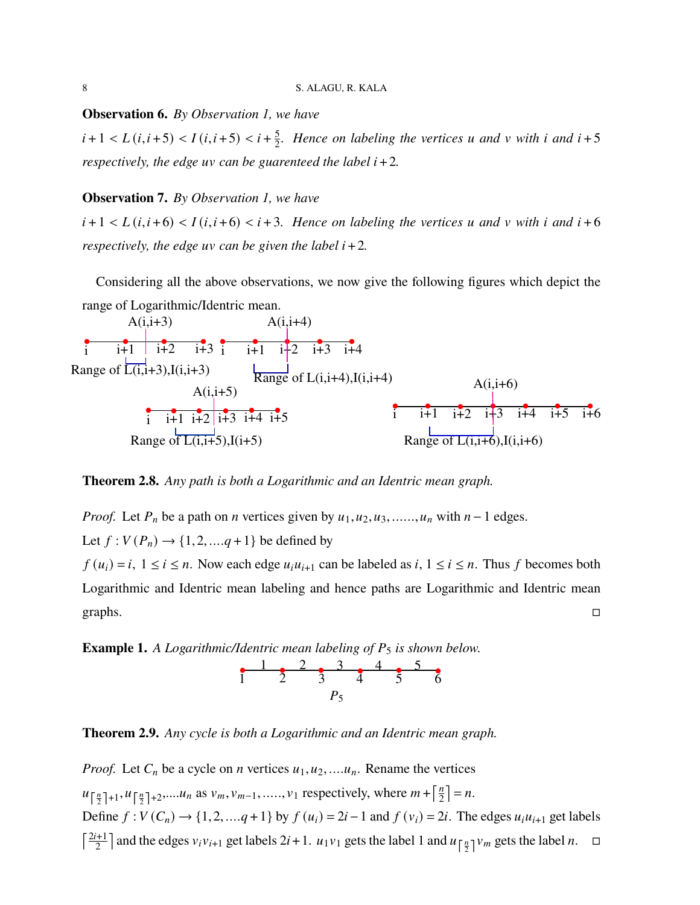**Observation 6.** *By Observation 1, we have*

 $i+1 < L(i, i+5) < I(i, i+5) < i+\frac{5}{2}$  $\frac{5}{2}$ . Hence on labeling the vertices *u* and *v* with *i* and *i* + 5 *respectively, the edge uv can be guarenteed the label*  $i + 2$ *.* 

### **Observation 7.** *By Observation 1, we have*

 $i+1 < L(i,i+6) < I(i,i+6) < i+3$ . Hence on labeling the vertices u and v with i and  $i+6$ *respectively, the edge uv can be given the label*  $i + 2$ *.* 

Considering all the above observations, we now give the following figures which depict the range of Logarithmic/Identric mean.



**Theorem 2.8.** *Any path is both a Logarithmic and an Identric mean graph.*

*Proof.* Let  $P_n$  be a path on  $n$  vertices given by  $u_1, u_2, u_3, \ldots, u_n$  with  $n-1$  edges. Let  $f : V(P_n) \to \{1, 2, ..., q+1\}$  be defined by

 $f(u_i) = i$ ,  $1 \le i \le n$ . Now each edge  $u_i u_{i+1}$  can be labeled as  $i, 1 \le i \le n$ . Thus f becomes both Logarithmic and Identric mean labeling and hence paths are Logarithmic and Identric mean graphs.  $\Box$ 

**Example 1.** A Logarithmic/Identric mean labeling of  $P_5$  is shown below.



**Theorem 2.9.** *Any cycle is both a Logarithmic and an Identric mean graph.*

*Proof.* Let  $C_n$  be a cycle on *n* vertices  $u_1, u_2, \ldots, u_n$ . Rename the vertices  $u_{\left[\frac{n}{2}\right]+1}, u_{\left[\frac{n}{2}\right]+2}, \dots, u_n$  as  $v_m, v_{m-1}, \dots, v_1$  respectively, where  $m + \left[\frac{n}{2}\right]$  $\frac{n}{2}$  = n. Define  $f: V(C_n) \to \{1, 2, ..., q+1\}$  by  $f(u_i) = 2i - 1$  and  $f(v_i) = 2i$ . The edges  $u_i u_{i+1}$  get labels  $\lceil \frac{2i+1}{2} \rceil$  $\frac{z+1}{2}$  and the edges  $v_i v_{i+1}$  get labels  $2i+1$ .  $u_1 v_1$  gets the label 1 and  $u_{\lceil \frac{n}{2} \rceil} v_m$  gets the label n.  $\Box$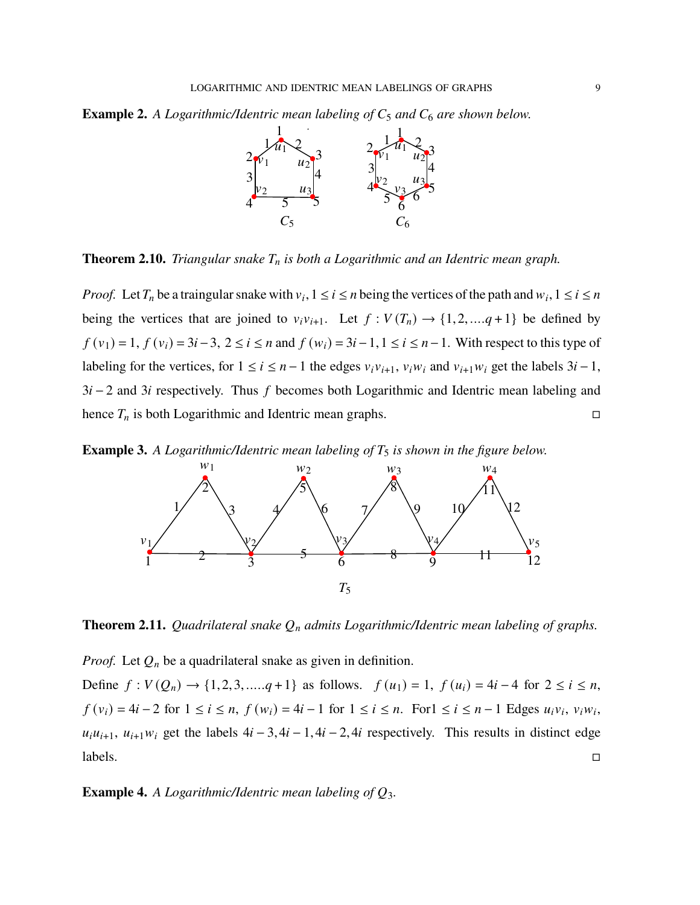**Example 2.** A Logarithmic/Identric mean labeling of  $C_5$  and  $C_6$  are shown below.



**Theorem 2.10.** *Triangular snake is both a Logarithmic and an Identric mean graph.*

*Proof.* Let  $T_n$  be a traingular snake with  $v_i$ ,  $1 \le i \le n$  being the vertices of the path and  $w_i$ ,  $1 \le i \le n$ being the vertices that are joined to  $v_i v_{i+1}$ . Let  $f : V(T_n) \to \{1, 2, ..., q+1\}$  be defined by  $f(v_1) = 1, f(v_i) = 3i - 3, 2 \le i \le n$  and  $f(w_i) = 3i - 1, 1 \le i \le n - 1$ . With respect to this type of labeling for the vertices, for  $1 \le i \le n-1$  the edges  $v_i v_{i+1}$ ,  $v_i w_i$  and  $v_{i+1} w_i$  get the labels  $3i-1$ ,  $3i - 2$  and 3i respectively. Thus f becomes both Logarithmic and Identric mean labeling and hence  $T_n$  is both Logarithmic and Identric mean graphs.  $\Box$ 

**Example 3.** *A Logarithmic/Identric mean labeling of*  $T_5$  *is shown in the figure below.* 



**Theorem 2.11.** *Quadrilateral snake*  $Q_n$  *admits Logarithmic/Identric mean labeling of graphs.* 

*Proof.* Let  $Q_n$  be a quadrilateral snake as given in definition.

Define  $f: V(Q_n) \to \{1,2,3, \ldots, q+1\}$  as follows.  $f(u_1) = 1$ ,  $f(u_i) = 4i - 4$  for  $2 \le i \le n$ ,  $f(v_i) = 4i - 2$  for  $1 \le i \le n$ ,  $f(w_i) = 4i - 1$  for  $1 \le i \le n$ . For  $1 \le i \le n - 1$  Edges  $u_i v_i$ ,  $v_i w_i$ ,  $u_i u_{i+1}$ ,  $u_{i+1} w_i$  get the labels  $4i - 3$ ,  $4i - 1$ ,  $4i - 2$ ,  $4i$  respectively. This results in distinct edge  $lables.$ 

**Example 4.** *A Logarithmic/Identric mean labeling of*  $Q_3$ *.*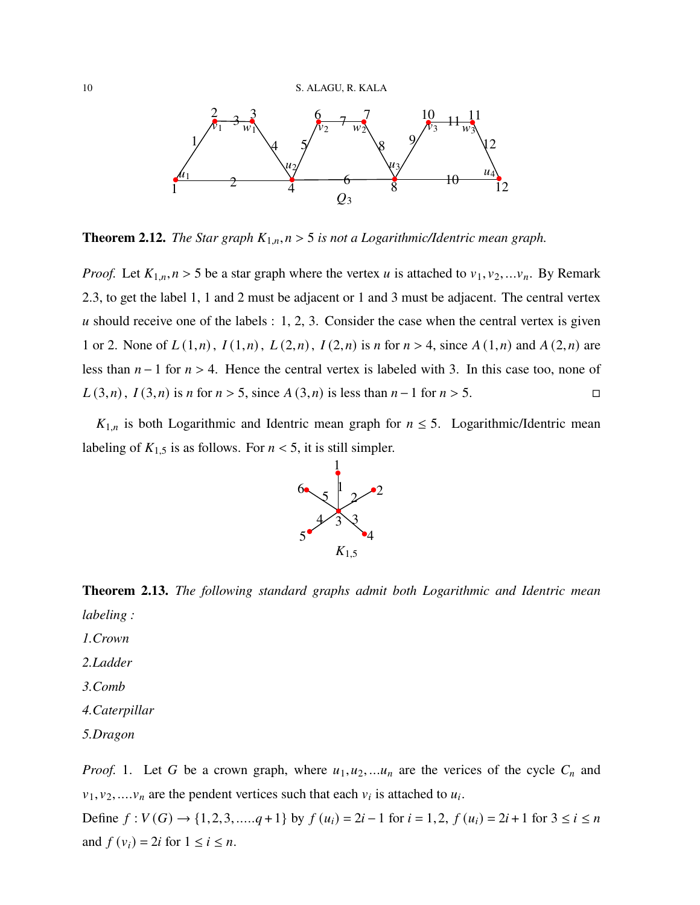

**Theorem 2.12.** *The Star graph*  $K_{1,n}$ ,  $n > 5$  *is not a Logarithmic/Identric mean graph.* 

*Proof.* Let  $K_{1,n}$ ,  $n > 5$  be a star graph where the vertex u is attached to  $v_1, v_2, \ldots, v_n$ . By Remark 2.3, to get the label 1, 1 and 2 must be adjacent or 1 and 3 must be adjacent. The central vertex u should receive one of the labels  $: 1, 2, 3$ . Consider the case when the central vertex is given 1 or 2. None of  $L(1,n)$ ,  $I(1,n)$ ,  $L(2,n)$ ,  $I(2,n)$  is *n* for  $n > 4$ , since  $A(1,n)$  and  $A(2,n)$  are less than  $n-1$  for  $n > 4$ . Hence the central vertex is labeled with 3. In this case too, none of  $L(3,n)$ ,  $I(3,n)$  is *n* for *n* > 5, since  $A(3,n)$  is less than *n* − 1 for *n* > 5. □

 $K_{1,n}$  is both Logarithmic and Identric mean graph for  $n \leq 5$ . Logarithmic/Identric mean labeling of  $K_{1,5}$  is as follows. For  $n < 5$ , it is still simpler.



**Theorem 2.13.** *The following standard graphs admit both Logarithmic and Identric mean labeling :*

- *1.Crown*
- *2.Ladder*
- *3.Comb*
- *4.Caterpillar*
- *5.Dragon*

*Proof.* 1. Let G be a crown graph, where  $u_1, u_2, \ldots, u_n$  are the verices of the cycle  $C_n$  and  $v_1, v_2, \ldots, v_n$  are the pendent vertices such that each  $v_i$  is attached to  $u_i$ .

Define  $f: V(G) \rightarrow \{1, 2, 3, \dots, q+1\}$  by  $f(u_i) = 2i - 1$  for  $i = 1, 2, f(u_i) = 2i + 1$  for  $3 \le i \le n$ and  $f(v_i) = 2i$  for  $1 \le i \le n$ .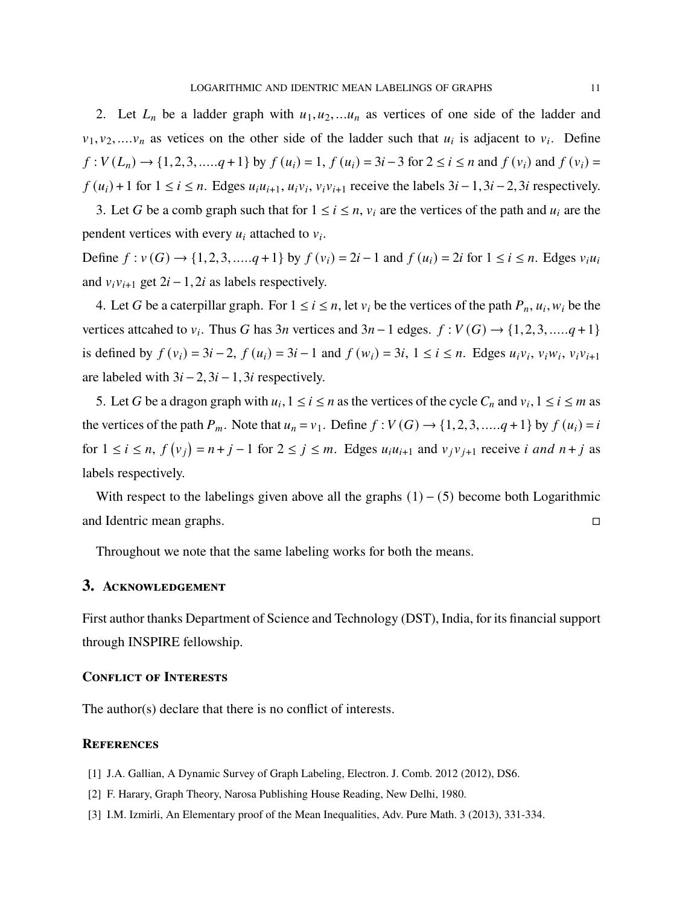2. Let  $L_n$  be a ladder graph with  $u_1, u_2, \ldots, u_n$  as vertices of one side of the ladder and  $v_1, v_2, \ldots, v_n$  as vetices on the other side of the ladder such that  $u_i$  is adjacent to  $v_i$ . Define  $f: V(L_n) \to \{1, 2, 3, \dots, q+1\}$  by  $f(u_i) = 1$ ,  $f(u_i) = 3i - 3$  for  $2 \le i \le n$  and  $f(v_i)$  and  $f(v_i) =$  $f(u_i) + 1$  for  $1 \le i \le n$ . Edges  $u_i u_{i+1}, u_i v_i, v_i v_{i+1}$  receive the labels  $3i - 1, 3i - 2, 3i$  respectively.

3. Let G be a comb graph such that for  $1 \le i \le n$ ,  $v_i$  are the vertices of the path and  $u_i$  are the pendent vertices with every  $u_i$  attached to  $v_i$ .

Define  $f: v(G) \to \{1, 2, 3, ..., q+1\}$  by  $f(v_i) = 2i - 1$  and  $f(u_i) = 2i$  for  $1 \le i \le n$ . Edges  $v_i u_i$ and  $v_i v_{i+1}$  get  $2i - 1$ , 2i as labels respectively.

4. Let G be a caterpillar graph. For  $1 \le i \le n$ , let  $v_i$  be the vertices of the path  $P_n$ ,  $u_i$ ,  $w_i$  be the vertices attcahed to  $v_i$ . Thus G has 3*n* vertices and 3*n* – 1 edges.  $f : V(G) \rightarrow \{1, 2, 3, \dots, q + 1\}$ is defined by  $f(v_i) = 3i - 2$ ,  $f(u_i) = 3i - 1$  and  $f(w_i) = 3i$ ,  $1 \le i \le n$ . Edges  $u_i v_i$ ,  $v_i w_i$ ,  $v_i v_{i+1}$ are labeled with  $3i - 2$ ,  $3i - 1$ ,  $3i$  respectively.

5. Let G be a dragon graph with  $u_i$ ,  $1 \le i \le n$  as the vertices of the cycle  $C_n$  and  $v_i$ ,  $1 \le i \le m$  as the vertices of the path  $P_m$ . Note that  $u_n = v_1$ . Define  $f: V(G) \rightarrow \{1, 2, 3, \dots, q+1\}$  by  $f(u_i) = i$ for  $1 \le i \le n$ ,  $f(v_j) = n + j - 1$  for  $2 \le j \le m$ . Edges  $u_i u_{i+1}$  and  $v_j v_{j+1}$  receive *i* and  $n + j$  as labels respectively.

With respect to the labelings given above all the graphs  $(1) - (5)$  become both Logarithmic and Identric mean graphs. □

Throughout we note that the same labeling works for both the means.

# **3. Acknowledgement**

First author thanks Department of Science and Technology (DST), India, for its financial support through INSPIRE fellowship.

## **Conflict of Interests**

The author(s) declare that there is no conflict of interests.

#### **References**

- [1] J.A. Gallian, A Dynamic Survey of Graph Labeling, Electron. J. Comb. 2012 (2012), DS6.
- [2] F. Harary, Graph Theory, Narosa Publishing House Reading, New Delhi, 1980.
- [3] I.M. Izmirli, An Elementary proof of the Mean Inequalities, Adv. Pure Math. 3 (2013), 331-334.